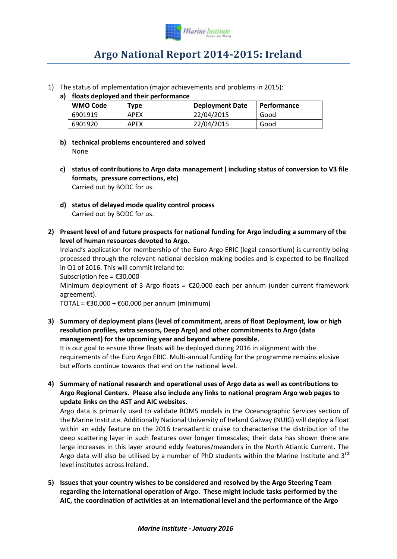

## **Argo National Report 2014-2015: Ireland**

1) The status of implementation (major achievements and problems in 2015):

## **a) floats deployed and their performance**

| <b>WMO Code</b> | Type        | <b>Deployment Date</b> | <b>Performance</b> |
|-----------------|-------------|------------------------|--------------------|
| 6901919         | <b>APEX</b> | 22/04/2015             | Good               |
| 6901920         | APEX        | 22/04/2015             | Good               |

- **b) technical problems encountered and solved** None
- **c) status of contributions to Argo data management ( including status of conversion to V3 file formats, pressure corrections, etc)** Carried out by BODC for us.
- **d) status of delayed mode quality control process** Carried out by BODC for us.
- **2) Present level of and future prospects for national funding for Argo including a summary of the level of human resources devoted to Argo.**

Ireland's application for membership of the Euro Argo ERIC (legal consortium) is currently being processed through the relevant national decision making bodies and is expected to be finalized in Q1 of 2016. This will commit Ireland to:

Subscription fee = €30,000

Minimum deployment of 3 Argo floats =  $\epsilon$ 20,000 each per annum (under current framework agreement).

TOTAL =  $£30,000 + £60,000$  per annum (minimum)

**3) Summary of deployment plans (level of commitment, areas of float Deployment, low or high resolution profiles, extra sensors, Deep Argo) and other commitments to Argo (data management) for the upcoming year and beyond where possible.**

It is our goal to ensure three floats will be deployed during 2016 in alignment with the requirements of the Euro Argo ERIC. Multi-annual funding for the programme remains elusive but efforts continue towards that end on the national level.

**4) Summary of national research and operational uses of Argo data as well as contributions to Argo Regional Centers. Please also include any links to national program Argo web pages to update links on the AST and AIC websites.** 

Argo data is primarily used to validate ROMS models in the Oceanographic Services section of the Marine Institute. Additionally National University of Ireland Galway (NUIG) will deploy a float within an eddy feature on the 2016 transatlantic cruise to characterise the distribution of the deep scattering layer in such features over longer timescales; their data has shown there are large increases in this layer around eddy features/meanders in the North Atlantic Current. The Argo data will also be utilised by a number of PhD students within the Marine Institute and 3<sup>rd</sup> level institutes across Ireland.

**5) Issues that your country wishes to be considered and resolved by the Argo Steering Team regarding the international operation of Argo. These might include tasks performed by the AIC, the coordination of activities at an international level and the performance of the Argo**